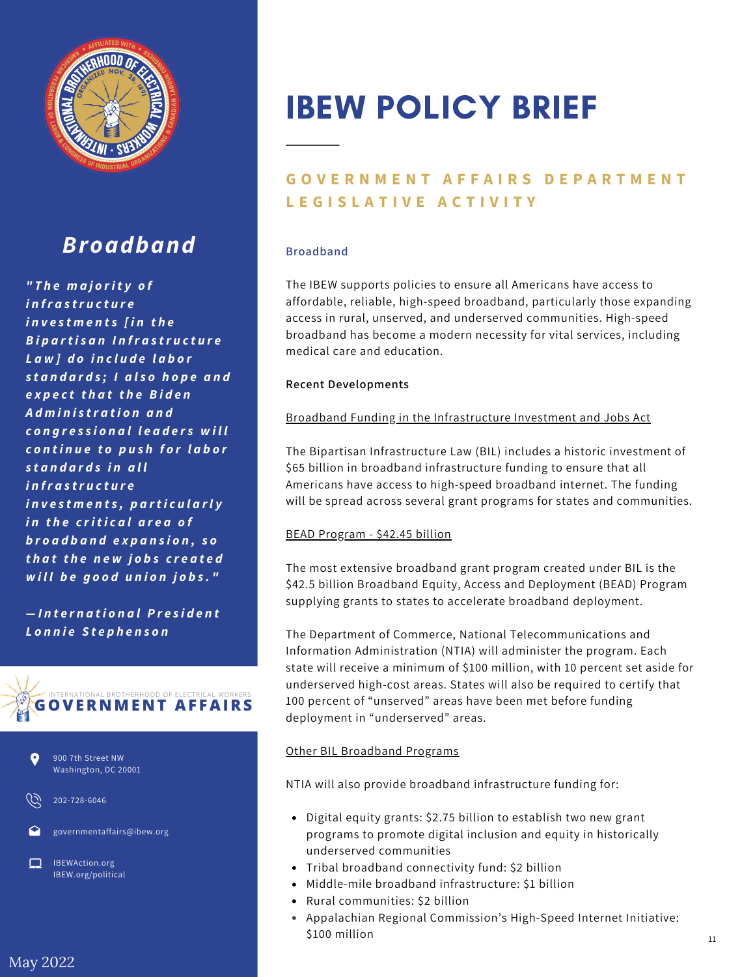

## *Broadband*

*" T h e m a j o ri t y o f i n fr a s tr u c t u r e i n v e s t m e n t s [ i n t h e B i p a rt i s a n I n fr a s tr u c t u r e L a w ] d o i n c l u d e l a b o r s t a n d a r d s ; I a ls o h o p e a n d e x p e c t t h a t t h e B i d e n A d m i n is tr a t i o n a n d c o n g r e s s i o n a l l e a d e r s w i l l c o n t i n u e t o p u s h f o r l a b o r s t a n d a r d s i n a l l i n fr a s tr u c t u r e i n v e s t m e n t s , p a rt i c u la rl y i n t h e c ri t i c a l a r e a o f b r o a d b a n d e x p a n s i o n , s o t h a t t h e n e w jo b s c r e a t e d w i ll b e g o o d u n io n j o b s . "*

*— I n t e r n a t i o n a lP r e s i d e n t L o n n ie S t e p h e n s o n*





202-728-6046

governmentaffairs@ibew.org

IBEWAction.org IBEW.org/political

# IBEW POLICY BRIEF

### **GOVERNMENT AFFAIRS DEPARTMENT L E G I S L A T I V E A C T I V I T Y**

#### **Broadband**

The IBEW supports policies to ensure all Americans have access to affordable, reliable, high-speed broadband, particularly those expanding access in rural, unserved, and underserved communities. High-speed broadband has become a modern necessity for vital services, including medical care and education.

#### **Recent Developments**

#### Broadband Funding in the Infrastructure Investment and Jobs Act

The Bipartisan Infrastructure Law (BIL) includes a historic investment of \$65 billion in broadband infrastructure funding to ensure that all Americans have access to high-speed broadband internet. The funding will be spread across several grant programs for states and communities.

#### BEAD Program - \$42.45 billion

The most extensive broadband grant program created under BIL is the \$42.5 billion Broadband Equity, Access and Deployment (BEAD) Program supplying grants to states to accelerate broadband deployment.

The Department of Commerce, National Telecommunications and Information Administration (NTIA) will administer the program. Each state will receive a minimum of \$100 million, with 10 percent set aside for underserved high-cost areas. States will also be required to certify that 100 percent of "unserved" areas have been met before funding deployment in "underserved" areas.

#### Other BIL Broadband Programs

NTIA will also provide broadband infrastructure funding for:

- Digital equity grants: \$2.75 billion to establish two new grant programs to promote digital inclusion and equity in historically underserved communities
- Tribal broadband connectivity fund: \$2 billion
- Middle-mile broadband infrastructure: \$1 billion
- Rural communities: \$2 billion
- Appalachian Regional Commission's High-Speed Internet Initiative: \$100 million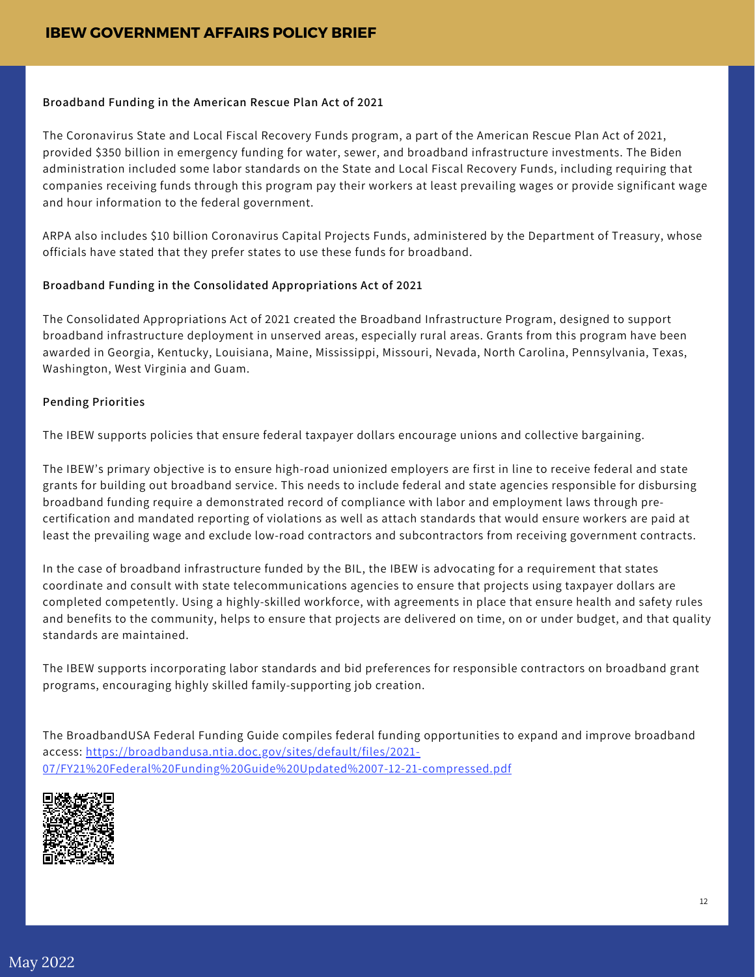#### **Broadband Funding in the American Rescue Plan Act of 2021**

The Coronavirus State and Local Fiscal Recovery Funds program, a part of the American Rescue Plan Act of 2021, provided \$350 billion in emergency funding for water, sewer, and broadband infrastructure investments. The Biden administration included some labor standards on the State and Local Fiscal Recovery Funds, including requiring that companies receiving funds through this program pay their workers at least prevailing wages or provide significant wage and hour information to the federal government.

ARPA also includes \$10 billion Coronavirus Capital Projects Funds, administered by the Department of Treasury, whose officials have stated that they prefer states to use these funds for broadband.

#### **Broadband Funding in the Consolidated Appropriations Act of 2021**

The Consolidated Appropriations Act of 2021 created the Broadband Infrastructure Program, designed to support broadband infrastructure deployment in unserved areas, especially rural areas. Grants from this program have been awarded in Georgia, Kentucky, Louisiana, Maine, Mississippi, Missouri, Nevada, North Carolina, Pennsylvania, Texas, Washington, West Virginia and Guam.

#### **Pending Priorities**

The IBEW supports policies that ensure federal taxpayer dollars encourage unions and collective bargaining.

The IBEW's primary objective is to ensure high-road unionized employers are first in line to receive federal and state grants for building out broadband service. This needs to include federal and state agencies responsible for disbursing broadband funding require a demonstrated record of compliance with labor and employment laws through precertification and mandated reporting of violations as well as attach standards that would ensure workers are paid at least the prevailing wage and exclude low-road contractors and subcontractors from receiving government contracts.

In the case of broadband infrastructure funded by the BIL, the IBEW is advocating for a requirement that states coordinate and consult with state telecommunications agencies to ensure that projects using taxpayer dollars are completed competently. Using a highly-skilled workforce, with agreements in place that ensure health and safety rules and benefits to the community, helps to ensure that projects are delivered on time, on or under budget, and that quality standards are maintained.

The IBEW supports incorporating labor standards and bid preferences for responsible contractors on broadband grant programs, encouraging highly skilled family-supporting job creation.

The BroadbandUSA Federal Funding Guide compiles federal funding opportunities to expand and improve broadband access: https://broadbandusa.ntia.doc.gov/sites/default/files/2021- [07/FY21%20Federal%20Funding%20Guide%20Updated%2007-12-21-compressed.pdf](https://broadbandusa.ntia.doc.gov/sites/default/files/2021-07/FY21%20Federal%20Funding%20Guide%20Updated%2007-12-21-compressed.pdf)